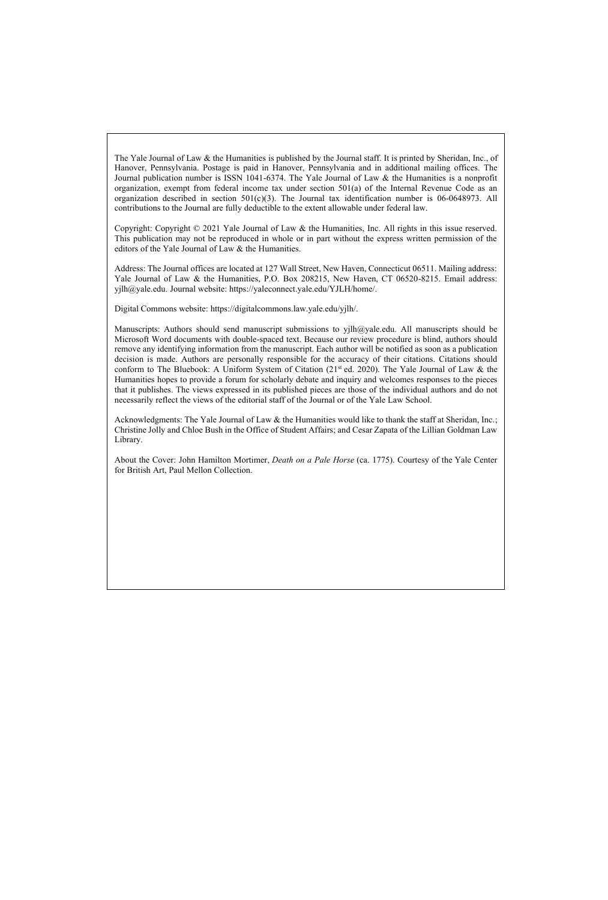The Yale Journal of Law & the Humanities is published by the Journal staff. It is printed by Sheridan, Inc., of Hanover, Pennsylvania. Postage is paid in Hanover, Pennsylvania and in additional mailing offices. The Journal publication number is ISSN 1041-6374. The Yale Journal of Law & the Humanities is a nonprofit organization, exempt from federal income tax under section 501(a) of the Internal Revenue Code as an organization described in section  $501(c)(3)$ . The Journal tax identification number is 06-0648973. All contributions to the Journal are fully deductible to the extent allowable under federal law.

Copyright: Copyright © 2021 Yale Journal of Law & the Humanities, Inc. All rights in this issue reserved. This publication may not be reproduced in whole or in part without the express written permission of the editors of the Yale Journal of Law & the Humanities.

Address: The Journal offices are located at 127 Wall Street, New Haven, Connecticut 06511. Mailing address: Yale Journal of Law & the Humanities, P.O. Box 208215, New Haven, CT 06520-8215. Email address: yjlh@yale.edu. Journal website: https://yaleconnect.yale.edu/YJLH/home/.

Digital Commons website: https://digitalcommons.law.yale.edu/yjlh/.

Manuscripts: Authors should send manuscript submissions to yjlh@yale.edu. All manuscripts should be Microsoft Word documents with double-spaced text. Because our review procedure is blind, authors should remove any identifying information from the manuscript. Each author will be notified as soon as a publication decision is made. Authors are personally responsible for the accuracy of their citations. Citations should conform to The Bluebook: A Uniform System of Citation  $(2]^{st}$  ed. 2020). The Yale Journal of Law & the Humanities hopes to provide a forum for scholarly debate and inquiry and welcomes responses to the pieces that it publishes. The views expressed in its published pieces are those of the individual authors and do not necessarily reflect the views of the editorial staff of the Journal or of the Yale Law School.

Acknowledgments: The Yale Journal of Law & the Humanities would like to thank the staff at Sheridan, Inc.; Christine Jolly and Chloe Bush in the Office of Student Affairs; and Cesar Zapata of the Lillian Goldman Law Library.

About the Cover: John Hamilton Mortimer, *Death on a Pale Horse* (ca. 1775). Courtesy of the Yale Center for British Art, Paul Mellon Collection.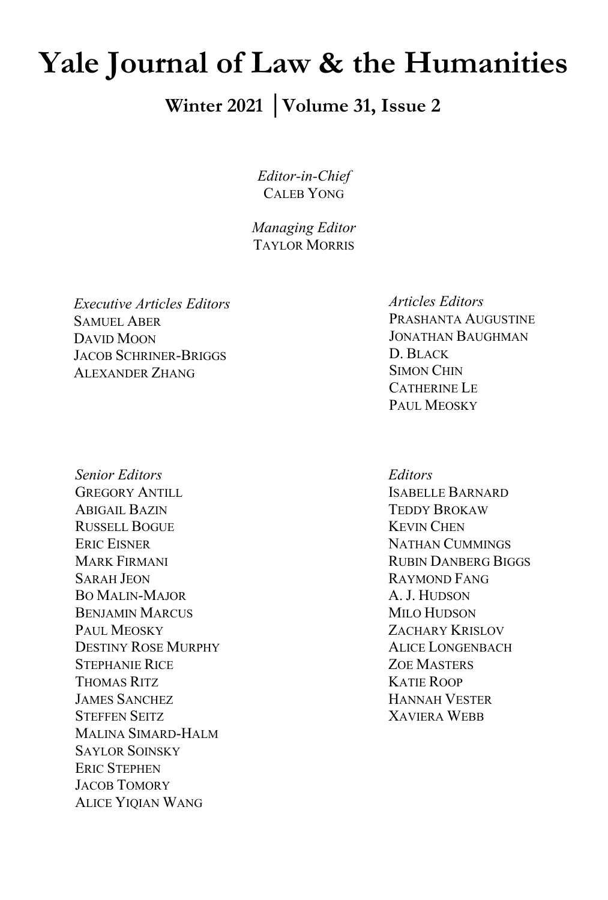# **Yale Journal of Law & the Humanities**

### **Winter 2021 │Volume 31, Issue 2**

*Editor-in-Chief* CALEB YONG

*Managing Editor* TAYLOR MORRIS

*Executive Articles Editors* SAMUEL ABER DAVID MOON JACOB SCHRINER-BRIGGS ALEXANDER ZHANG

*Senior Editors* GREGORY ANTILL ABIGAIL BAZIN RUSSELL BOGUE ERIC EISNER MARK FIRMANI SARAH JEON BO MALIN-MAJOR BENJAMIN MARCUS PAUL MEOSKY DESTINY ROSE MURPHY STEPHANIE RICE THOMAS RITZ JAMES SANCHEZ STEFFEN SEITZ MALINA SIMARD-HALM SAYLOR SOINSKY ERIC STEPHEN JACOB TOMORY ALICE YIQIAN WANG

*Articles Editors* PRASHANTA AUGUSTINE JONATHAN BAUGHMAN D. BLACK SIMON CHIN CATHERINE LE PAUL MEOSKY

*Editors* ISABELLE BARNARD TEDDY BROKAW KEVIN CHEN NATHAN CUMMINGS RUBIN DANBERG BIGGS RAYMOND FANG A. J. HUDSON MILO HUDSON ZACHARY KRISLOV ALICE LONGENBACH ZOE MASTERS KATIE ROOP HANNAH VESTER XAVIERA WEBB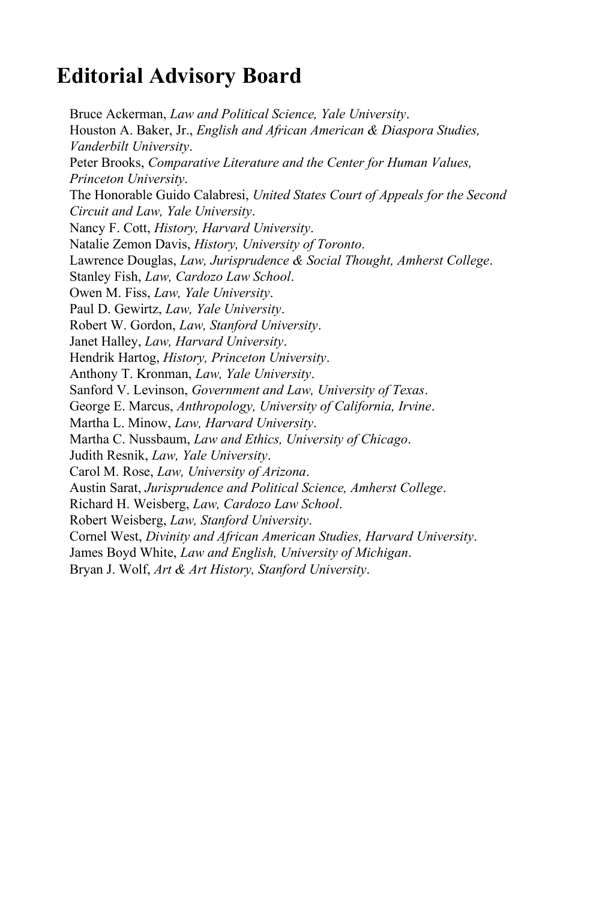### **Editorial Advisory Board**

Bruce Ackerman, *Law and Political Science, Yale University*. Houston A. Baker, Jr., *English and African American & Diaspora Studies, Vanderbilt University*. Peter Brooks, *Comparative Literature and the Center for Human Values, Princeton University*. The Honorable Guido Calabresi, *United States Court of Appeals for the Second Circuit and Law, Yale University*. Nancy F. Cott, *History, Harvard University*. Natalie Zemon Davis, *History, University of Toronto*. Lawrence Douglas, *Law, Jurisprudence & Social Thought, Amherst College*. Stanley Fish, *Law, Cardozo Law School*. Owen M. Fiss, *Law, Yale University*. Paul D. Gewirtz, *Law, Yale University*. Robert W. Gordon, *Law, Stanford University*. Janet Halley, *Law, Harvard University*. Hendrik Hartog, *History, Princeton University*. Anthony T. Kronman, *Law, Yale University*. Sanford V. Levinson, *Government and Law, University of Texas*. George E. Marcus, *Anthropology, University of California, Irvine*. Martha L. Minow, *Law, Harvard University*. Martha C. Nussbaum, *Law and Ethics, University of Chicago*. Judith Resnik, *Law, Yale University*. Carol M. Rose, *Law, University of Arizona*. Austin Sarat, *Jurisprudence and Political Science, Amherst College*. Richard H. Weisberg, *Law, Cardozo Law School*. Robert Weisberg, *Law, Stanford University*. Cornel West, *Divinity and African American Studies, Harvard University*. James Boyd White, *Law and English, University of Michigan*. Bryan J. Wolf, *Art & Art History, Stanford University*.